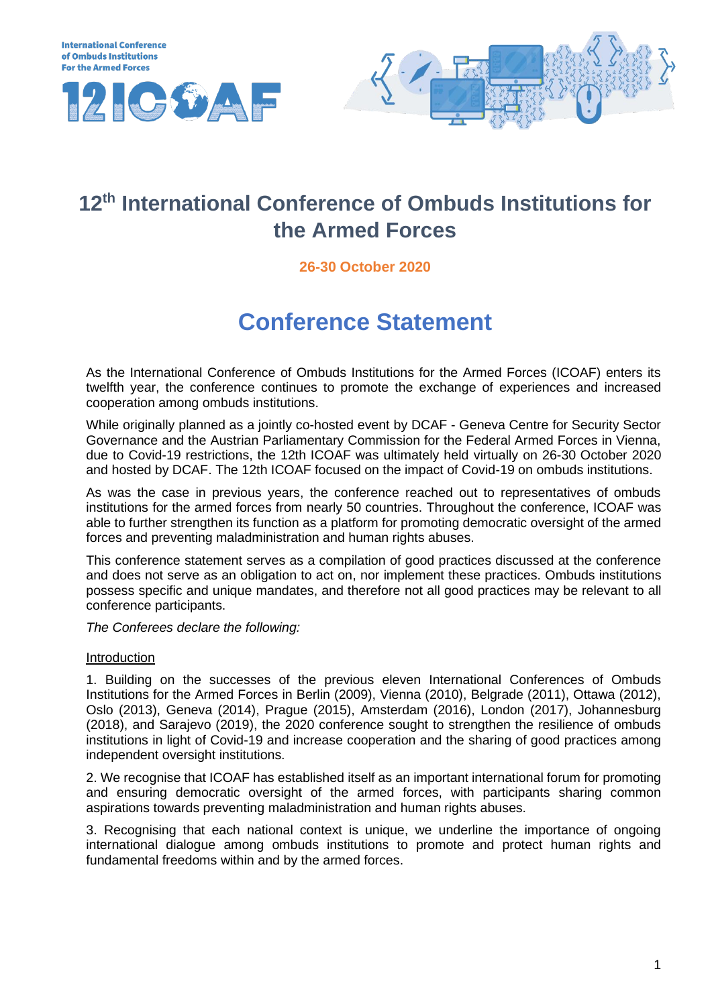



## **12th International Conference of Ombuds Institutions for the Armed Forces**

## **26-30 October 2020**

# **Conference Statement**

As the International Conference of Ombuds Institutions for the Armed Forces (ICOAF) enters its twelfth year, the conference continues to promote the exchange of experiences and increased cooperation among ombuds institutions.

While originally planned as a jointly co-hosted event by DCAF - Geneva Centre for Security Sector Governance and the Austrian Parliamentary Commission for the Federal Armed Forces in Vienna, due to Covid-19 restrictions, the 12th ICOAF was ultimately held virtually on 26-30 October 2020 and hosted by DCAF. The 12th ICOAF focused on the impact of Covid-19 on ombuds institutions.

As was the case in previous years, the conference reached out to representatives of ombuds institutions for the armed forces from nearly 50 countries. Throughout the conference, ICOAF was able to further strengthen its function as a platform for promoting democratic oversight of the armed forces and preventing maladministration and human rights abuses.

This conference statement serves as a compilation of good practices discussed at the conference and does not serve as an obligation to act on, nor implement these practices. Ombuds institutions possess specific and unique mandates, and therefore not all good practices may be relevant to all conference participants.

*The Conferees declare the following:* 

## Introduction

1. Building on the successes of the previous eleven International Conferences of Ombuds Institutions for the Armed Forces in Berlin (2009), Vienna (2010), Belgrade (2011), Ottawa (2012), Oslo (2013), Geneva (2014), Prague (2015), Amsterdam (2016), London (2017), Johannesburg (2018), and Sarajevo (2019), the 2020 conference sought to strengthen the resilience of ombuds institutions in light of Covid-19 and increase cooperation and the sharing of good practices among independent oversight institutions.

2. We recognise that ICOAF has established itself as an important international forum for promoting and ensuring democratic oversight of the armed forces, with participants sharing common aspirations towards preventing maladministration and human rights abuses.

3. Recognising that each national context is unique, we underline the importance of ongoing international dialogue among ombuds institutions to promote and protect human rights and fundamental freedoms within and by the armed forces.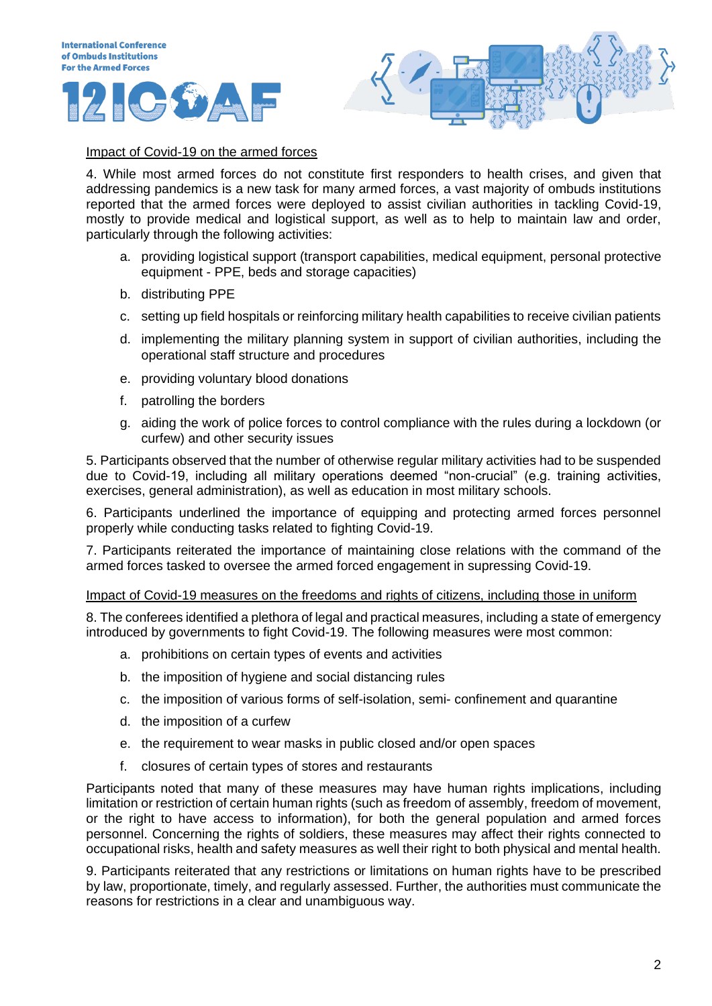



## Impact of Covid-19 on the armed forces

4. While most armed forces do not constitute first responders to health crises, and given that addressing pandemics is a new task for many armed forces, a vast majority of ombuds institutions reported that the armed forces were deployed to assist civilian authorities in tackling Covid-19, mostly to provide medical and logistical support, as well as to help to maintain law and order, particularly through the following activities:

- a. providing logistical support (transport capabilities, medical equipment, personal protective equipment - PPE, beds and storage capacities)
- b. distributing PPE
- c. setting up field hospitals or reinforcing military health capabilities to receive civilian patients
- d. implementing the military planning system in support of civilian authorities, including the operational staff structure and procedures
- e. providing voluntary blood donations
- f. patrolling the borders
- g. aiding the work of police forces to control compliance with the rules during a lockdown (or curfew) and other security issues

5. Participants observed that the number of otherwise regular military activities had to be suspended due to Covid-19, including all military operations deemed "non-crucial" (e.g. training activities, exercises, general administration), as well as education in most military schools.

6. Participants underlined the importance of equipping and protecting armed forces personnel properly while conducting tasks related to fighting Covid-19.

7. Participants reiterated the importance of maintaining close relations with the command of the armed forces tasked to oversee the armed forced engagement in supressing Covid-19.

Impact of Covid-19 measures on the freedoms and rights of citizens, including those in uniform

8. The conferees identified a plethora of legal and practical measures, including a state of emergency introduced by governments to fight Covid-19. The following measures were most common:

- a. prohibitions on certain types of events and activities
- b. the imposition of hygiene and social distancing rules
- c. the imposition of various forms of self-isolation, semi- confinement and quarantine
- d. the imposition of a curfew
- e. the requirement to wear masks in public closed and/or open spaces
- f. closures of certain types of stores and restaurants

Participants noted that many of these measures may have human rights implications, including limitation or restriction of certain human rights (such as freedom of assembly, freedom of movement, or the right to have access to information), for both the general population and armed forces personnel. Concerning the rights of soldiers, these measures may affect their rights connected to occupational risks, health and safety measures as well their right to both physical and mental health.

9. Participants reiterated that any restrictions or limitations on human rights have to be prescribed by law, proportionate, timely, and regularly assessed. Further, the authorities must communicate the reasons for restrictions in a clear and unambiguous way.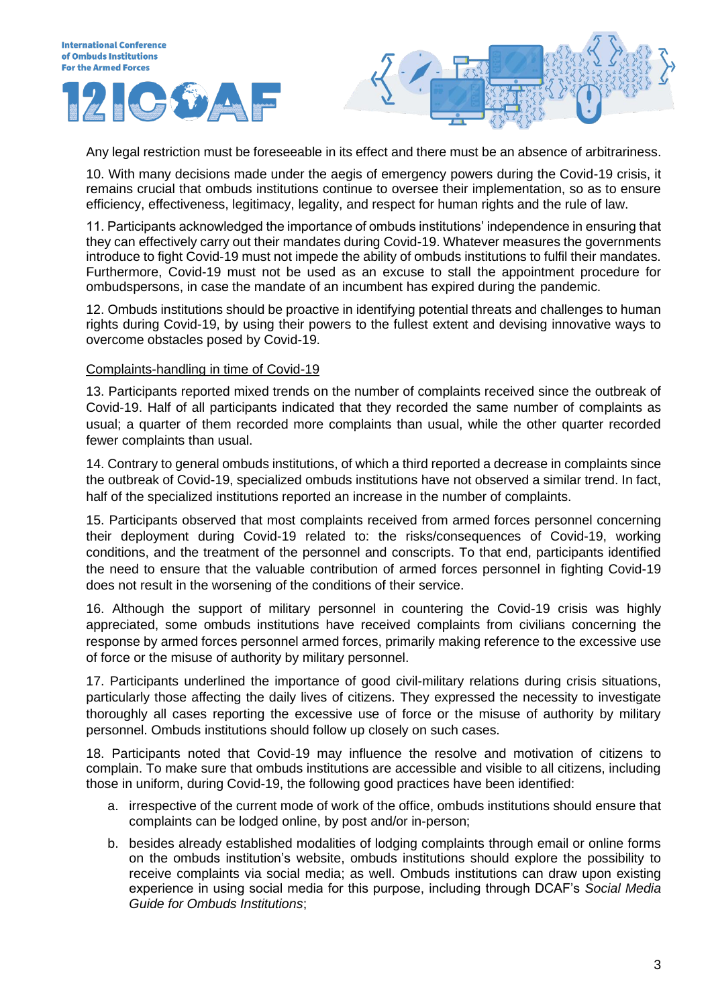Any legal restriction must be foreseeable in its effect and there must be an absence of arbitrariness.

10. With many decisions made under the aegis of emergency powers during the Covid-19 crisis, it remains crucial that ombuds institutions continue to oversee their implementation, so as to ensure efficiency, effectiveness, legitimacy, legality, and respect for human rights and the rule of law.

11. Participants acknowledged the importance of ombuds institutions' independence in ensuring that they can effectively carry out their mandates during Covid-19. Whatever measures the governments introduce to fight Covid-19 must not impede the ability of ombuds institutions to fulfil their mandates. Furthermore, Covid-19 must not be used as an excuse to stall the appointment procedure for ombudspersons, in case the mandate of an incumbent has expired during the pandemic.

12. Ombuds institutions should be proactive in identifying potential threats and challenges to human rights during Covid-19, by using their powers to the fullest extent and devising innovative ways to overcome obstacles posed by Covid-19.

### Complaints-handling in time of Covid-19

13. Participants reported mixed trends on the number of complaints received since the outbreak of Covid-19. Half of all participants indicated that they recorded the same number of complaints as usual; a quarter of them recorded more complaints than usual, while the other quarter recorded fewer complaints than usual.

14. Contrary to general ombuds institutions, of which a third reported a decrease in complaints since the outbreak of Covid-19, specialized ombuds institutions have not observed a similar trend. In fact, half of the specialized institutions reported an increase in the number of complaints.

15. Participants observed that most complaints received from armed forces personnel concerning their deployment during Covid-19 related to: the risks/consequences of Covid-19, working conditions, and the treatment of the personnel and conscripts. To that end, participants identified the need to ensure that the valuable contribution of armed forces personnel in fighting Covid-19 does not result in the worsening of the conditions of their service.

16. Although the support of military personnel in countering the Covid-19 crisis was highly appreciated, some ombuds institutions have received complaints from civilians concerning the response by armed forces personnel armed forces, primarily making reference to the excessive use of force or the misuse of authority by military personnel.

17. Participants underlined the importance of good civil-military relations during crisis situations, particularly those affecting the daily lives of citizens. They expressed the necessity to investigate thoroughly all cases reporting the excessive use of force or the misuse of authority by military personnel. Ombuds institutions should follow up closely on such cases.

18. Participants noted that Covid-19 may influence the resolve and motivation of citizens to complain. To make sure that ombuds institutions are accessible and visible to all citizens, including those in uniform, during Covid-19, the following good practices have been identified:

- a. irrespective of the current mode of work of the office, ombuds institutions should ensure that complaints can be lodged online, by post and/or in-person;
- b. besides already established modalities of lodging complaints through email or online forms on the ombuds institution's website, ombuds institutions should explore the possibility to receive complaints via social media; as well. Ombuds institutions can draw upon existing experience in using social media for this purpose, including through DCAF's *Social Media Guide for Ombuds Institutions*;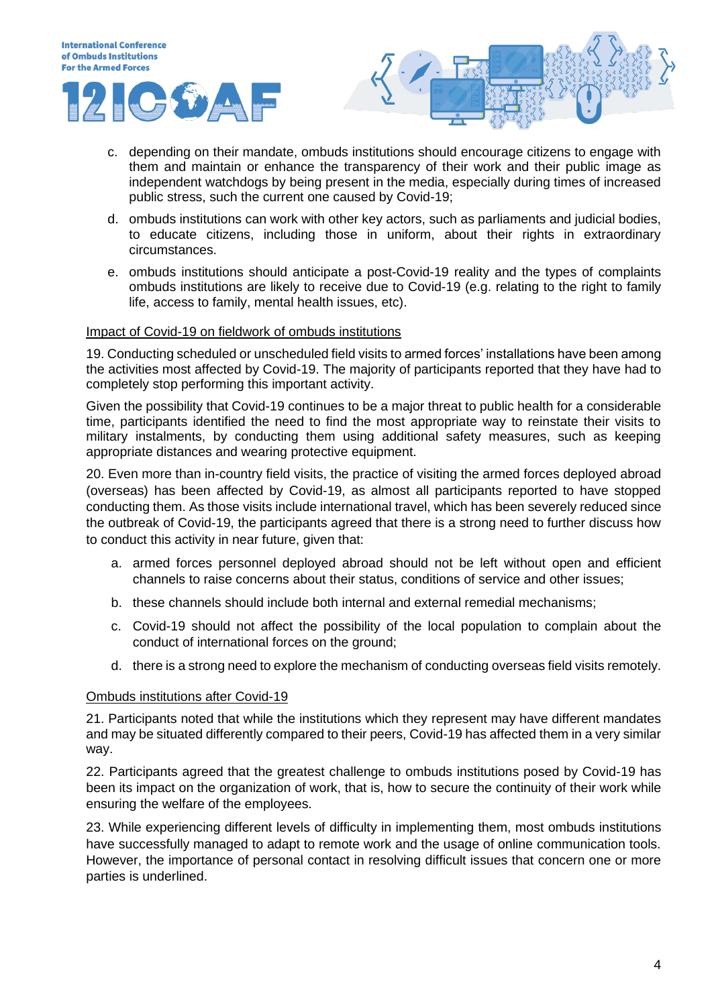



- c. depending on their mandate, ombuds institutions should encourage citizens to engage with them and maintain or enhance the transparency of their work and their public image as independent watchdogs by being present in the media, especially during times of increased public stress, such the current one caused by Covid-19;
- d. ombuds institutions can work with other key actors, such as parliaments and judicial bodies, to educate citizens, including those in uniform, about their rights in extraordinary circumstances.
- e. ombuds institutions should anticipate a post-Covid-19 reality and the types of complaints ombuds institutions are likely to receive due to Covid-19 (e.g. relating to the right to family life, access to family, mental health issues, etc).

## Impact of Covid-19 on fieldwork of ombuds institutions

19. Conducting scheduled or unscheduled field visits to armed forces' installations have been among the activities most affected by Covid-19. The majority of participants reported that they have had to completely stop performing this important activity.

Given the possibility that Covid-19 continues to be a major threat to public health for a considerable time, participants identified the need to find the most appropriate way to reinstate their visits to military instalments, by conducting them using additional safety measures, such as keeping appropriate distances and wearing protective equipment.

20. Even more than in-country field visits, the practice of visiting the armed forces deployed abroad (overseas) has been affected by Covid-19, as almost all participants reported to have stopped conducting them. As those visits include international travel, which has been severely reduced since the outbreak of Covid-19, the participants agreed that there is a strong need to further discuss how to conduct this activity in near future, given that:

- a. armed forces personnel deployed abroad should not be left without open and efficient channels to raise concerns about their status, conditions of service and other issues;
- b. these channels should include both internal and external remedial mechanisms;
- c. Covid-19 should not affect the possibility of the local population to complain about the conduct of international forces on the ground;
- d. there is a strong need to explore the mechanism of conducting overseas field visits remotely.

#### Ombuds institutions after Covid-19

21. Participants noted that while the institutions which they represent may have different mandates and may be situated differently compared to their peers, Covid-19 has affected them in a very similar way.

22. Participants agreed that the greatest challenge to ombuds institutions posed by Covid-19 has been its impact on the organization of work, that is, how to secure the continuity of their work while ensuring the welfare of the employees.

23. While experiencing different levels of difficulty in implementing them, most ombuds institutions have successfully managed to adapt to remote work and the usage of online communication tools. However, the importance of personal contact in resolving difficult issues that concern one or more parties is underlined.